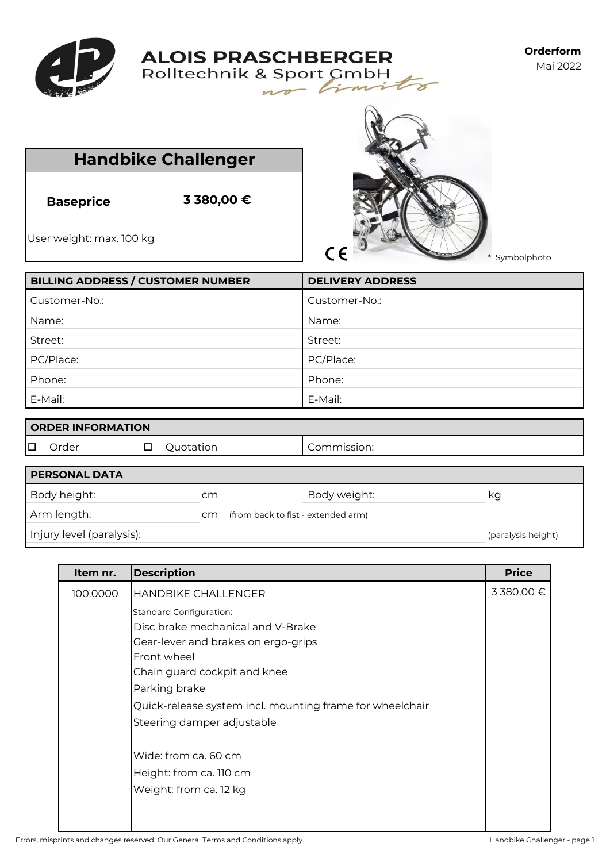

## **ALOIS PRASCHBERGER** Rolltechnik & Sport CmbH

 $n_{\mathcal{D}}$ 

**Orderform** Mai 2022

| <b>Handbike Challenger</b> |
|----------------------------|

**Baseprice 3 380,00 €**

User weight: max. 100 kg



V

 $\geq$ 

\* Symbolphoto

| <b>BILLING ADDRESS / CUSTOMER NUMBER</b> | <b>DELIVERY ADDRESS</b> |
|------------------------------------------|-------------------------|
| Customer-No.:                            | Customer-No.:           |
| Name:                                    | Name:                   |
| Street:                                  | Street:                 |
| PC/Place:                                | PC/Place:               |
| Phone:                                   | Phone:                  |
| E-Mail:                                  | E-Mail:                 |

| <b>ORDER INFORMATION</b> |
|--------------------------|
|                          |

O Order **D** Quotation **Commission:** 

| <b>PERSONAL DATA</b>      |     |                                    |                    |
|---------------------------|-----|------------------------------------|--------------------|
| Body height:              | cm  | Body weight:                       | kg                 |
| Arm length:               | cm. | (from back to fist - extended arm) |                    |
| Injury level (paralysis): |     |                                    | (paralysis height) |

| Item nr. | <b>Description</b>                                       | <b>Price</b> |
|----------|----------------------------------------------------------|--------------|
| 100.0000 | <b>HANDBIKE CHALLENGER</b>                               | 3 380,00 €   |
|          | <b>Standard Configuration:</b>                           |              |
|          | Disc brake mechanical and V-Brake                        |              |
|          | Gear-lever and brakes on ergo-grips                      |              |
|          | Front wheel                                              |              |
|          | Chain guard cockpit and knee                             |              |
|          | Parking brake                                            |              |
|          | Quick-release system incl. mounting frame for wheelchair |              |
|          | Steering damper adjustable                               |              |
|          | Wide: from ca. 60 cm                                     |              |
|          | Height: from ca. 110 cm                                  |              |
|          | Weight: from ca. 12 kg                                   |              |
|          |                                                          |              |
|          |                                                          |              |

Errors, misprints and changes reserved. Our General Terms and Conditions apply. The mass of the conditions apply the challenger - page 1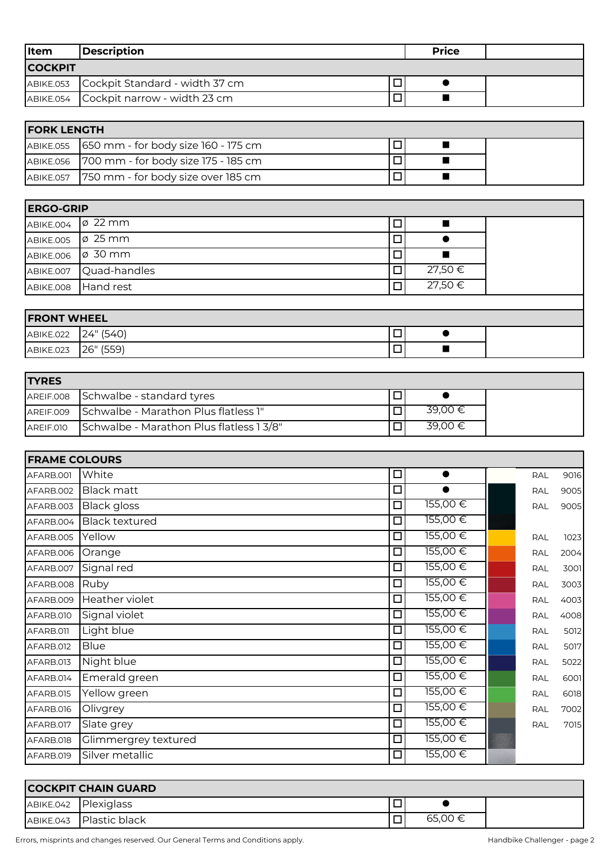| Item           | Description                              | <b>Price</b> |  |
|----------------|------------------------------------------|--------------|--|
| <b>COCKPIT</b> |                                          |              |  |
|                | ABIKE.053 Cockpit Standard - width 37 cm |              |  |
|                | ABIKE.054 Cockpit narrow - width 23 cm   |              |  |

| <b>FORK LENGTH</b>                            |  |  |  |
|-----------------------------------------------|--|--|--|
| ABIKE.055 650 mm - for body size 160 - 175 cm |  |  |  |
| ABIKE.056 700 mm - for body size 175 - 185 cm |  |  |  |
| ABIKE.057 750 mm - for body size over 185 cm  |  |  |  |

| <b>ERGO-GRIP</b> |                        |    |         |  |
|------------------|------------------------|----|---------|--|
| ABIKE.004        | $\varphi$ 22 mm        | □  |         |  |
| ABIKE.005        | $\varphi$ 25 mm        | ⊔  |         |  |
| ABIKE.006        | $\varphi$ 30 mm        | ┚  |         |  |
|                  | ABIKE.007 Quad-handles | □  | 27,50 € |  |
|                  | ABIKE.008 Hand rest    | ים | 27,50 € |  |
|                  |                        |    |         |  |
| $F_{\mathsf{P}}$ |                        |    |         |  |

| <b>FRONT WHEEL</b> |           |  |  |
|--------------------|-----------|--|--|
| ABIKE.022          | 24" (540) |  |  |
| ABIKE.023          | 26" (559) |  |  |

| <b>ITYRES</b> |                                                |         |
|---------------|------------------------------------------------|---------|
|               | AREIF.008 Schwalbe - standard tyres            |         |
|               | AREIF.009 Schwalbe - Marathon Plus flatless 1" | 39.00 € |
| AREIF.010     | Schwalbe - Marathon Plus flatless 13/8"        | 39.00 € |

| <b>FRAME COLOURS</b> |                       |        |           |            |      |
|----------------------|-----------------------|--------|-----------|------------|------|
| AFARB.001            | White                 | $\Box$ | $\bullet$ | <b>RAL</b> | 9016 |
| AFARB.002            | <b>Black matt</b>     | $\Box$ |           | <b>RAL</b> | 9005 |
| AFARB.003            | <b>Black gloss</b>    | $\Box$ | 155,00€   | RAL        | 9005 |
| AFARB.004            | <b>Black textured</b> | □      | 155,00€   |            |      |
| AFARB.005            | Yellow                | $\Box$ | 155,00€   | RAL        | 1023 |
| AFARB.006            | Orange                | $\Box$ | 155,00€   | RAL        | 2004 |
| AFARB.007            | Signal red            | □      | 155,00€   | <b>RAL</b> | 3001 |
| AFARB.008            | Ruby                  | $\Box$ | 155,00€   | RAL        | 3003 |
| AFARB.009            | Heather violet        | $\Box$ | 155,00€   | <b>RAL</b> | 4003 |
| AFARB.010            | Signal violet         | $\Box$ | 155,00€   | <b>RAL</b> | 4008 |
| AFARB.011            | Light blue            | □      | 155,00€   | <b>RAL</b> | 5012 |
| AFARB.012            | <b>Blue</b>           | $\Box$ | 155,00€   | <b>RAL</b> | 5017 |
| AFARB.013            | Night blue            | $\Box$ | 155,00€   | <b>RAL</b> | 5022 |
| AFARB.014            | Emerald green         | □      | 155,00€   | <b>RAL</b> | 6001 |
| AFARB.015            | Yellow green          | □      | 155,00€   | RAL        | 6018 |
| AFARB.016            | Olivgrey              | □      | 155,00€   | <b>RAL</b> | 7002 |
| AFARB.017            | Slate grey            | $\Box$ | 155,00€   | <b>RAL</b> | 7015 |
| AFARB.018            | Glimmergrey textured  | $\Box$ | 155,00€   |            |      |
| AFARB.019            | Silver metallic       | $\Box$ | 155,00€   |            |      |

|           | <b>COCKPIT CHAIN GUARD</b> |         |
|-----------|----------------------------|---------|
|           | ABIKE.042 Plexiglass       |         |
| ABIKE.043 | <b>I</b> Plastic black     | 65.00 € |

Errors, misprints and changes reserved. Our General Terms and Conditions apply. Handbike Challenger - page 2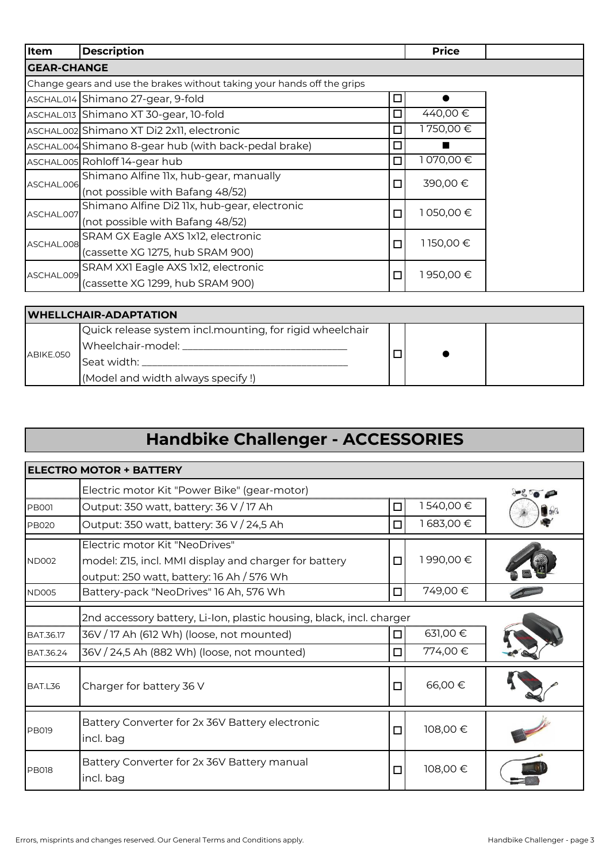| Item               | <b>Description</b>                                                      |        | <b>Price</b> |
|--------------------|-------------------------------------------------------------------------|--------|--------------|
| <b>GEAR-CHANGE</b> |                                                                         |        |              |
|                    | Change gears and use the brakes without taking your hands off the grips |        |              |
|                    | ASCHAL.014 Shimano 27-gear, 9-fold                                      | □      |              |
|                    | ASCHAL.013 Shimano XT 30-gear, 10-fold                                  | □      | 440,00 €     |
|                    | ASCHAL.002 Shimano XT Di2 2x11, electronic                              | $\Box$ | I 750,00 €   |
|                    | ASCHAL.004 Shimano 8-gear hub (with back-pedal brake)                   | □      |              |
|                    | ASCHAL.005 Rohloff 14-gear hub                                          | □      | 1070,00€     |
| ASCHAL.006         | Shimano Alfine IIx, hub-gear, manually                                  | $\Box$ | 390,00€      |
|                    | (not possible with Bafang 48/52)                                        |        |              |
| ASCHAL.007         | Shimano Alfine Di2 11x, hub-gear, electronic                            | $\Box$ | 1050,00€     |
|                    | (not possible with Bafang 48/52)                                        |        |              |
| ASCHAL.008         | SRAM GX Eagle AXS 1x12, electronic                                      | $\Box$ | 1150,00€     |
|                    | (cassette XG 1275, hub SRAM 900)                                        |        |              |
| ASCHAL.009         | SRAM XXI Eagle AXS 1x12, electronic                                     | $\Box$ | 950,00 €     |
|                    | (cassette XG 1299, hub SRAM 900)                                        |        |              |

| <b>WHELLCHAIR-ADAPTATION</b> |                                                          |  |  |  |
|------------------------------|----------------------------------------------------------|--|--|--|
| ABIKE.050                    | Quick release system incl.mounting, for rigid wheelchair |  |  |  |
|                              | Wheelchair-model: _________________                      |  |  |  |
|                              | lSeat width:                                             |  |  |  |
|                              | (Model and width always specify!)                        |  |  |  |

# **Handbike Challenger - ACCESSORIES**

|                               | <b>ELECTRO MOTOR + BATTERY</b>                                                                                                                                   |        |                     |  |
|-------------------------------|------------------------------------------------------------------------------------------------------------------------------------------------------------------|--------|---------------------|--|
|                               | Electric motor Kit "Power Bike" (gear-motor)                                                                                                                     |        |                     |  |
| <b>PB001</b>                  | Output: 350 watt, battery: 36 V / 17 Ah                                                                                                                          | □      | 1540,00€            |  |
| <b>PB020</b>                  | Output: 350 watt, battery: 36 V / 24,5 Ah                                                                                                                        | П      | 1683,00€            |  |
| <b>ND002</b>                  | Electric motor Kit "NeoDrives"<br>model: Z15, incl. MMI display and charger for battery<br>output: 250 watt, battery: 16 Ah / 576 Wh                             | □      | 1990,00€            |  |
| <b>ND005</b>                  | Battery-pack "NeoDrives" 16 Ah, 576 Wh                                                                                                                           | □      | 749,00€             |  |
| <b>BAT.36.17</b><br>BAT.36.24 | 2nd accessory battery, Li-Ion, plastic housing, black, incl. charger<br>36V / 17 Ah (612 Wh) (loose, not mounted)<br>36V / 24,5 Ah (882 Wh) (loose, not mounted) | П<br>п | 631,00 €<br>774,00€ |  |
| BAT.L36                       | Charger for battery 36 V                                                                                                                                         | □      | 66,00€              |  |
| <b>PB019</b>                  | Battery Converter for 2x 36V Battery electronic<br>incl. bag                                                                                                     | □      | 108,00€             |  |
| <b>PB018</b>                  | Battery Converter for 2x 36V Battery manual<br>incl. bag                                                                                                         | $\Box$ | 108,00€             |  |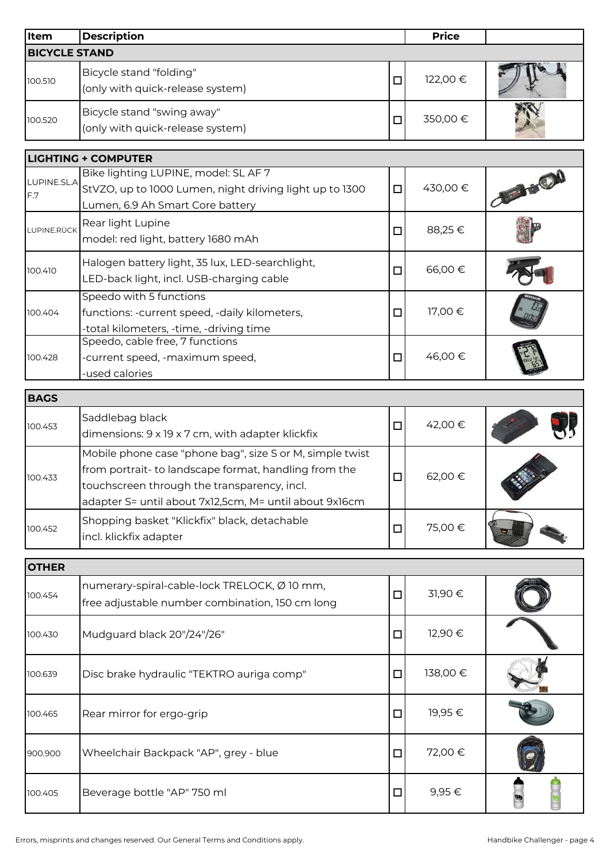| Item                 | <b>Description</b>                                                                                                                                                                                                         |        | <b>Price</b> |          |
|----------------------|----------------------------------------------------------------------------------------------------------------------------------------------------------------------------------------------------------------------------|--------|--------------|----------|
| <b>BICYCLE STAND</b> |                                                                                                                                                                                                                            |        |              |          |
| 100.510              | Bicycle stand "folding"<br>(only with quick-release system)                                                                                                                                                                | $\Box$ | 122,00 €     |          |
| 100.520              | Bicycle stand "swing away"<br>(only with quick-release system)                                                                                                                                                             | $\Box$ | 350,00€      |          |
|                      | <b>LIGHTING + COMPUTER</b>                                                                                                                                                                                                 |        |              |          |
|                      | Bike lighting LUPINE, model: SL AF 7                                                                                                                                                                                       |        |              |          |
| LUPINE.SL.A<br>F.7   | StVZO, up to 1000 Lumen, night driving light up to 1300<br>Lumen, 6.9 Ah Smart Core battery                                                                                                                                | $\Box$ | 430,00 €     |          |
| LUPINE.RÜCK          | Rear light Lupine<br>model: red light, battery 1680 mAh                                                                                                                                                                    | $\Box$ | 88,25€       |          |
| 100.410              | Halogen battery light, 35 lux, LED-searchlight,<br>LED-back light, incl. USB-charging cable                                                                                                                                | $\Box$ | 66,00€       |          |
| 100.404              | Speedo with 5 functions<br>functions: -current speed, -daily kilometers,<br>-total kilometers, -time, -driving time                                                                                                        | $\Box$ | 17,00€       |          |
| 100.428              | Speedo, cable free, 7 functions<br>-current speed, -maximum speed,<br>-used calories                                                                                                                                       | $\Box$ | 46,00 €      |          |
| <b>BAGS</b>          |                                                                                                                                                                                                                            |        |              |          |
| 100.453              | Saddlebag black<br>dimensions: 9 x 19 x 7 cm, with adapter klickfix                                                                                                                                                        | $\Box$ | 42,00 €      |          |
| 100.433              | Mobile phone case "phone bag", size S or M, simple twist<br>from portrait- to landscape format, handling from the<br>touchscreen through the transparency, incl.<br>adapter S= until about 7x12,5cm, M= until about 9x16cm | $\Box$ | 62,00€       |          |
| 100.452              | Shopping basket "Klickfix" black, detachable<br>incl. klickfix adapter                                                                                                                                                     | $\Box$ | 75,00€       |          |
| <b>OTHER</b>         |                                                                                                                                                                                                                            |        |              |          |
| 100.454              | numerary-spiral-cable-lock TRELOCK, Ø 10 mm,<br>free adjustable number combination, 150 cm long                                                                                                                            | $\Box$ | 31,90€       |          |
| 100.430              | Mudguard black 20"/24"/26"                                                                                                                                                                                                 | $\Box$ | 12,90 €      |          |
| 100.639              | Disc brake hydraulic "TEKTRO auriga comp"                                                                                                                                                                                  | $\Box$ | 138,00€      |          |
| 100.465              | Rear mirror for ergo-grip                                                                                                                                                                                                  | $\Box$ | 19,95€       |          |
| 900.900              | Wheelchair Backpack "AP", grey - blue                                                                                                                                                                                      | $\Box$ | 72,00€       |          |
| 100.405              | Beverage bottle "AP" 750 ml                                                                                                                                                                                                | $\Box$ | 9,95€        | $\theta$ |